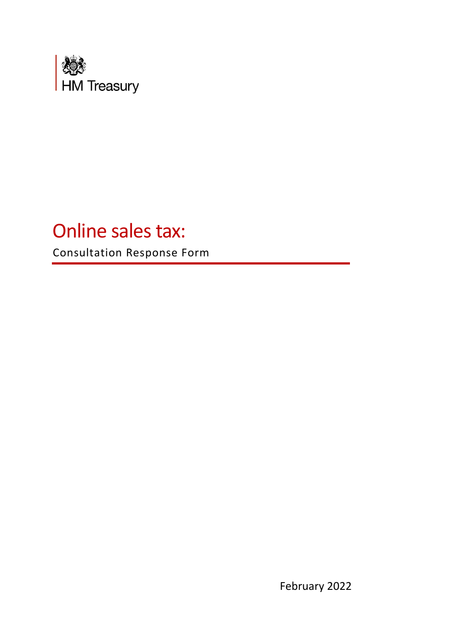

# Online sales tax:

Consultation Response Form

February 2022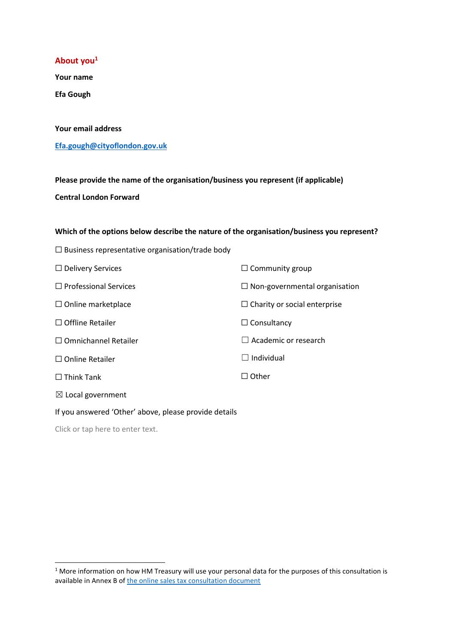#### **About you<sup>1</sup>**

**Your name**

**Efa Gough**

#### **Your email address**

**Efa.gough@cityoflondon.gov.uk**

**Please provide the name of the organisation/business you represent (if applicable) Central London Forward**

#### **Which of the options below describe the nature of the organisation/business you represent?**

| $\Box$ Business representative organisation/trade body |                                      |
|--------------------------------------------------------|--------------------------------------|
| $\Box$ Delivery Services                               | $\Box$ Community group               |
| $\Box$ Professional Services                           | $\Box$ Non-governmental organisation |
| $\Box$ Online marketplace                              | $\Box$ Charity or social enterprise  |
| $\Box$ Offline Retailer                                | $\Box$ Consultancy                   |
| $\Box$ Omnichannel Retailer                            | $\Box$ Academic or research          |
| $\Box$ Online Retailer                                 | $\Box$ Individual                    |
| $\Box$ Think Tank                                      | $\sqcap$ Other                       |
| $\boxtimes$ Local government                           |                                      |
| If you answered 'Other' above, please provide details  |                                      |
|                                                        |                                      |

<sup>&</sup>lt;sup>1</sup> More information on how HM Treasury will use your personal data for the purposes of this consultation is available in Annex B of the online sales tax consultation document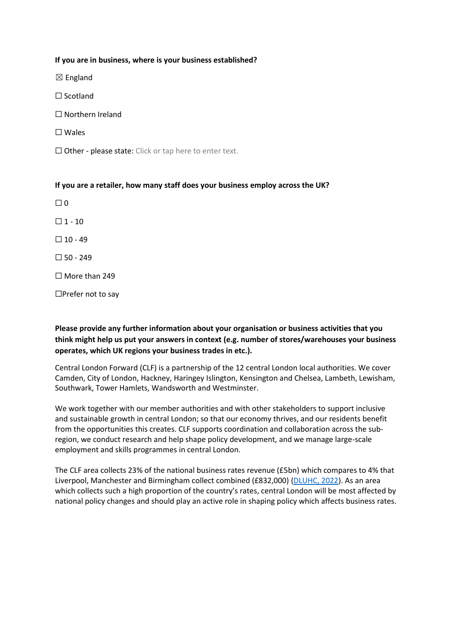#### **If you are in business, where is your business established?**

☒ England

- ☐ Scotland
- ☐ Northern Ireland
- ☐ Wales
- □ Other please state: Click or tap here to enter text.

#### **If you are a retailer, how many staff does your business employ across the UK?**

 $\Box$  0

 $\square$  1 - 10

 $\Box$  10 - 49

 $\square$  50 - 249

☐ More than 249

☐Prefer not to say

## **Please provide any further information about your organisation or business activities that you think might help us put your answers in context (e.g. number of stores/warehouses your business operates, which UK regions your business trades in etc.).**

Central London Forward (CLF) is a partnership of the 12 central London local authorities. We cover Camden, City of London, Hackney, Haringey Islington, Kensington and Chelsea, Lambeth, Lewisham, Southwark, Tower Hamlets, Wandsworth and Westminster.

We work together with our member authorities and with other stakeholders to support inclusive and sustainable growth in central London; so that our economy thrives, and our residents benefit from the opportunities this creates. CLF supports coordination and collaboration across the subregion, we conduct research and help shape policy development, and we manage large-scale employment and skills programmes in central London.

The CLF area collects 23% of the national business rates revenue (£5bn) which compares to 4% that Liverpool, Manchester and Birmingham collect combined (£832,000) (DLUHC, 2022). As an area which collects such a high proportion of the country's rates, central London will be most affected by national policy changes and should play an active role in shaping policy which affects business rates.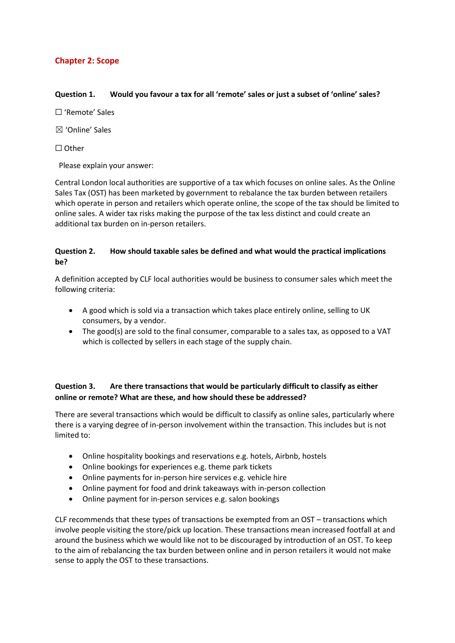# **Chapter 2: Scope**

#### **Question 1. Would you favour a tax for all 'remote' sales or just a subset of 'online' sales?**

☐ 'Remote' Sales

☒ 'Online' Sales

☐ Other

Please explain your answer:

Central London local authorities are supportive of a tax which focuses on online sales. As the Online Sales Tax (OST) has been marketed by government to rebalance the tax burden between retailers which operate in person and retailers which operate online, the scope of the tax should be limited to online sales. A wider tax risks making the purpose of the tax less distinct and could create an additional tax burden on in-person retailers.

## **Question 2. How should taxable sales be defined and what would the practical implications be?**

A definition accepted by CLF local authorities would be business to consumer sales which meet the following criteria:

- A good which is sold via a transaction which takes place entirely online, selling to UK consumers, by a vendor.
- The good(s) are sold to the final consumer, comparable to a sales tax, as opposed to a VAT which is collected by sellers in each stage of the supply chain.

# **Question 3. Are there transactions that would be particularly difficult to classify as either online or remote? What are these, and how should these be addressed?**

There are several transactions which would be difficult to classify as online sales, particularly where there is a varying degree of in-person involvement within the transaction. This includes but is not limited to:

- Online hospitality bookings and reservations e.g. hotels, Airbnb, hostels
- Online bookings for experiences e.g. theme park tickets
- Online payments for in-person hire services e.g. vehicle hire
- Online payment for food and drink takeaways with in-person collection
- Online payment for in-person services e.g. salon bookings

CLF recommends that these types of transactions be exempted from an OST – transactions which involve people visiting the store/pick up location. These transactions mean increased footfall at and around the business which we would like not to be discouraged by introduction of an OST. To keep to the aim of rebalancing the tax burden between online and in person retailers it would not make sense to apply the OST to these transactions.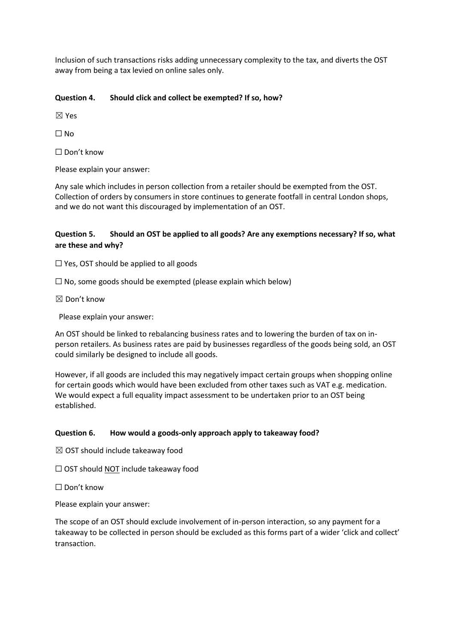Inclusion of such transactions risks adding unnecessary complexity to the tax, and diverts the OST away from being a tax levied on online sales only.

#### **Question 4. Should click and collect be exempted? If so, how?**

☒ Yes

 $\Box$  No

☐ Don't know

Please explain your answer:

Any sale which includes in person collection from a retailer should be exempted from the OST. Collection of orders by consumers in store continues to generate footfall in central London shops, and we do not want this discouraged by implementation of an OST.

## **Question 5. Should an OST be applied to all goods? Are any exemptions necessary? If so, what are these and why?**

 $\Box$  Yes, OST should be applied to all goods

 $\Box$  No, some goods should be exempted (please explain which below)

☒ Don't know

Please explain your answer:

An OST should be linked to rebalancing business rates and to lowering the burden of tax on inperson retailers. As business rates are paid by businesses regardless of the goods being sold, an OST could similarly be designed to include all goods.

However, if all goods are included this may negatively impact certain groups when shopping online for certain goods which would have been excluded from other taxes such as VAT e.g. medication. We would expect a full equality impact assessment to be undertaken prior to an OST being established.

#### **Question 6. How would a goods-only approach apply to takeaway food?**

- $\boxtimes$  OST should include takeaway food
- $\Box$  OST should NOT include takeaway food

☐ Don't know

Please explain your answer:

The scope of an OST should exclude involvement of in-person interaction, so any payment for a takeaway to be collected in person should be excluded as this forms part of a wider 'click and collect' transaction.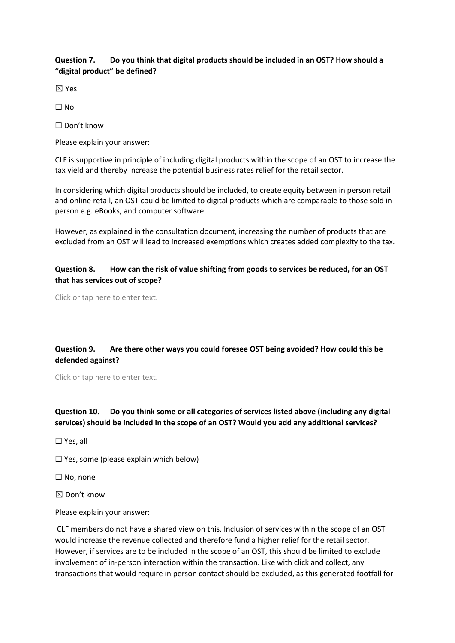## **Question 7. Do you think that digital products should be included in an OST? How should a "digital product" be defined?**

☒ Yes

 $\Box$  No

☐ Don't know

Please explain your answer:

CLF is supportive in principle of including digital products within the scope of an OST to increase the tax yield and thereby increase the potential business rates relief for the retail sector.

In considering which digital products should be included, to create equity between in person retail and online retail, an OST could be limited to digital products which are comparable to those sold in person e.g. eBooks, and computer software.

However, as explained in the consultation document, increasing the number of products that are excluded from an OST will lead to increased exemptions which creates added complexity to the tax.

## **Question 8. How can the risk of value shifting from goods to services be reduced, for an OST that has services out of scope?**

Click or tap here to enter text.

# **Question 9. Are there other ways you could foresee OST being avoided? How could this be defended against?**

Click or tap here to enter text.

# **Question 10. Do you think some or all categories of services listed above (including any digital services) should be included in the scope of an OST? Would you add any additional services?**

☐ Yes, all

 $\Box$  Yes, some (please explain which below)

☐ No, none

 $\boxtimes$  Don't know

Please explain your answer:

CLF members do not have a shared view on this. Inclusion of services within the scope of an OST would increase the revenue collected and therefore fund a higher relief for the retail sector. However, if services are to be included in the scope of an OST, this should be limited to exclude involvement of in-person interaction within the transaction. Like with click and collect, any transactions that would require in person contact should be excluded, as this generated footfall for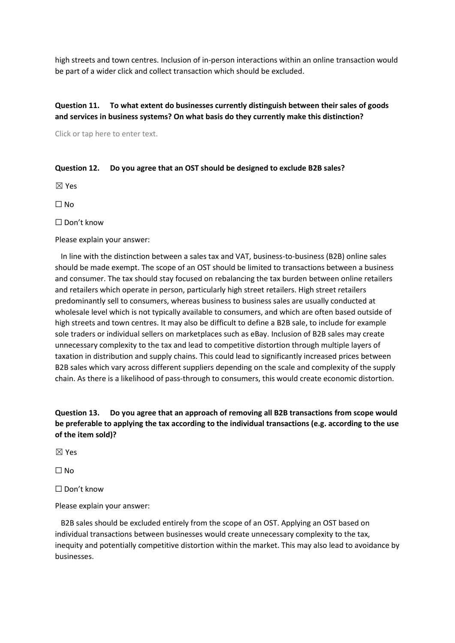high streets and town centres. Inclusion of in-person interactions within an online transaction would be part of a wider click and collect transaction which should be excluded.

# **Question 11. To what extent do businesses currently distinguish between their sales of goods and services in business systems? On what basis do they currently make this distinction?**

Click or tap here to enter text.

#### **Question 12. Do you agree that an OST should be designed to exclude B2B sales?**

☒ Yes

☐ No

☐ Don't know

Please explain your answer:

 In line with the distinction between a sales tax and VAT, business-to-business (B2B) online sales should be made exempt. The scope of an OST should be limited to transactions between a business and consumer. The tax should stay focused on rebalancing the tax burden between online retailers and retailers which operate in person, particularly high street retailers. High street retailers predominantly sell to consumers, whereas business to business sales are usually conducted at wholesale level which is not typically available to consumers, and which are often based outside of high streets and town centres. It may also be difficult to define a B2B sale, to include for example sole traders or individual sellers on marketplaces such as eBay. Inclusion of B2B sales may create unnecessary complexity to the tax and lead to competitive distortion through multiple layers of taxation in distribution and supply chains. This could lead to significantly increased prices between B2B sales which vary across different suppliers depending on the scale and complexity of the supply chain. As there is a likelihood of pass-through to consumers, this would create economic distortion.

# **Question 13. Do you agree that an approach of removing all B2B transactions from scope would be preferable to applying the tax according to the individual transactions (e.g. according to the use of the item sold)?**

☒ Yes

☐ No

☐ Don't know

Please explain your answer:

 B2B sales should be excluded entirely from the scope of an OST. Applying an OST based on individual transactions between businesses would create unnecessary complexity to the tax, inequity and potentially competitive distortion within the market. This may also lead to avoidance by businesses.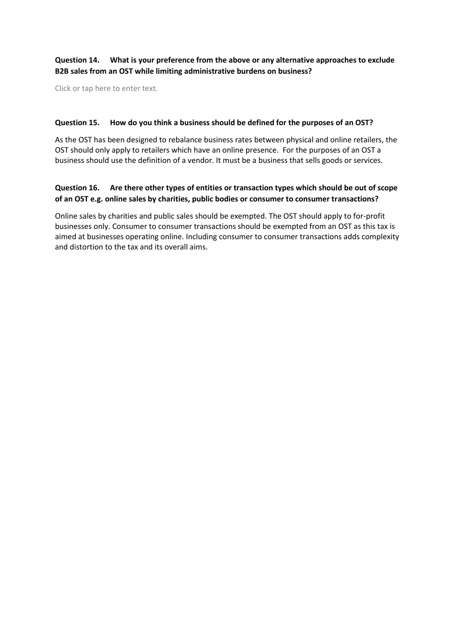## **Question 14. What is your preference from the above or any alternative approaches to exclude B2B sales from an OST while limiting administrative burdens on business?**

Click or tap here to enter text.

#### **Question 15. How do you think a business should be defined for the purposes of an OST?**

As the OST has been designed to rebalance business rates between physical and online retailers, the OST should only apply to retailers which have an online presence. For the purposes of an OST a business should use the definition of a vendor. It must be a business that sells goods or services.

## **Question 16. Are there other types of entities or transaction types which should be out of scope of an OST e.g. online sales by charities, public bodies or consumer to consumer transactions?**

Online sales by charities and public sales should be exempted. The OST should apply to for-profit businesses only. Consumer to consumer transactions should be exempted from an OST as this tax is aimed at businesses operating online. Including consumer to consumer transactions adds complexity and distortion to the tax and its overall aims.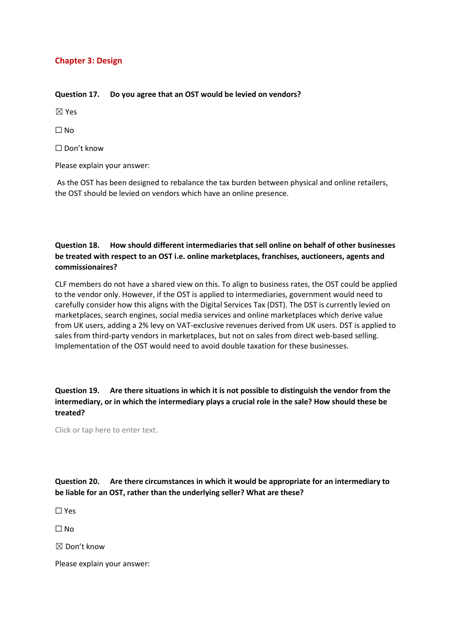# **Chapter 3: Design**

#### **Question 17. Do you agree that an OST would be levied on vendors?**

☒ Yes

☐ No

☐ Don't know

Please explain your answer:

As the OST has been designed to rebalance the tax burden between physical and online retailers, the OST should be levied on vendors which have an online presence.

# **Question 18. How should different intermediaries that sell online on behalf of other businesses be treated with respect to an OST i.e. online marketplaces, franchises, auctioneers, agents and commissionaires?**

CLF members do not have a shared view on this. To align to business rates, the OST could be applied to the vendor only. However, if the OST is applied to intermediaries, government would need to carefully consider how this aligns with the Digital Services Tax (DST). The DST is currently levied on marketplaces, search engines, social media services and online marketplaces which derive value from UK users, adding a 2% levy on VAT-exclusive revenues derived from UK users. DST is applied to sales from third-party vendors in marketplaces, but not on sales from direct web-based selling. Implementation of the OST would need to avoid double taxation for these businesses.

# **Question 19. Are there situations in which it is not possible to distinguish the vendor from the intermediary, or in which the intermediary plays a crucial role in the sale? How should these be treated?**

Click or tap here to enter text.

**Question 20. Are there circumstances in which it would be appropriate for an intermediary to be liable for an OST, rather than the underlying seller? What are these?**

☐ Yes

☐ No

 $\boxtimes$  Don't know

Please explain your answer: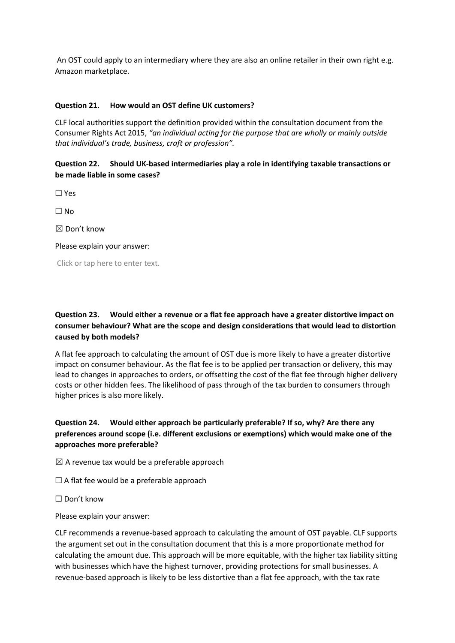An OST could apply to an intermediary where they are also an online retailer in their own right e.g. Amazon marketplace.

#### **Question 21. How would an OST define UK customers?**

CLF local authorities support the definition provided within the consultation document from the Consumer Rights Act 2015, *"an individual acting for the purpose that are wholly or mainly outside that individual's trade, business, craft or profession".*

#### **Question 22. Should UK-based intermediaries play a role in identifying taxable transactions or be made liable in some cases?**

☐ Yes

☐ No

☒ Don't know

Please explain your answer:

Click or tap here to enter text.

# **Question 23. Would either a revenue or a flat fee approach have a greater distortive impact on consumer behaviour? What are the scope and design considerations that would lead to distortion caused by both models?**

A flat fee approach to calculating the amount of OST due is more likely to have a greater distortive impact on consumer behaviour. As the flat fee is to be applied per transaction or delivery, this may lead to changes in approaches to orders, or offsetting the cost of the flat fee through higher delivery costs or other hidden fees. The likelihood of pass through of the tax burden to consumers through higher prices is also more likely.

# **Question 24. Would either approach be particularly preferable? If so, why? Are there any preferences around scope (i.e. different exclusions or exemptions) which would make one of the approaches more preferable?**

 $\boxtimes$  A revenue tax would be a preferable approach

 $\Box$  A flat fee would be a preferable approach

☐ Don't know

Please explain your answer:

CLF recommends a revenue-based approach to calculating the amount of OST payable. CLF supports the argument set out in the consultation document that this is a more proportionate method for calculating the amount due. This approach will be more equitable, with the higher tax liability sitting with businesses which have the highest turnover, providing protections for small businesses. A revenue-based approach is likely to be less distortive than a flat fee approach, with the tax rate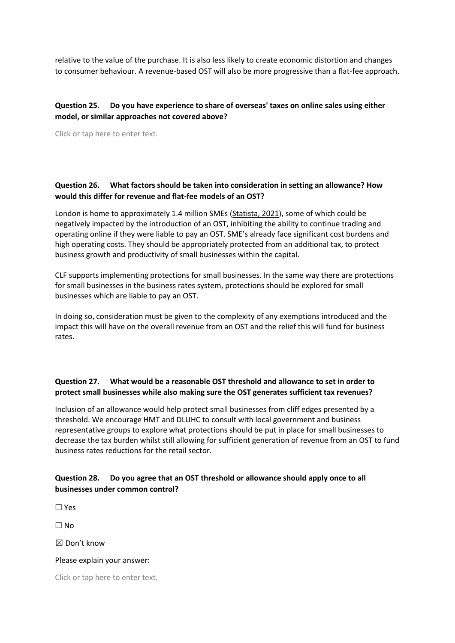relative to the value of the purchase. It is also less likely to create economic distortion and changes to consumer behaviour. A revenue-based OST will also be more progressive than a flat-fee approach.

## **Question 25. Do you have experience to share of overseas' taxes on online sales using either model, or similar approaches not covered above?**

Click or tap here to enter text.

## **Question 26. What factors should be taken into consideration in setting an allowance? How would this differ for revenue and flat-fee models of an OST?**

London is home to approximately 1.4 million SMEs (Statista, 2021), some of which could be negatively impacted by the introduction of an OST, inhibiting the ability to continue trading and operating online if they were liable to pay an OST. SME's already face significant cost burdens and high operating costs. They should be appropriately protected from an additional tax, to protect business growth and productivity of small businesses within the capital.

CLF supports implementing protections for small businesses. In the same way there are protections for small businesses in the business rates system, protections should be explored for small businesses which are liable to pay an OST.

In doing so, consideration must be given to the complexity of any exemptions introduced and the impact this will have on the overall revenue from an OST and the relief this will fund for business rates.

# **Question 27. What would be a reasonable OST threshold and allowance to set in order to protect small businesses while also making sure the OST generates sufficient tax revenues?**

Inclusion of an allowance would help protect small businesses from cliff edges presented by a threshold. We encourage HMT and DLUHC to consult with local government and business representative groups to explore what protections should be put in place for small businesses to decrease the tax burden whilst still allowing for sufficient generation of revenue from an OST to fund business rates reductions for the retail sector.

## **Question 28. Do you agree that an OST threshold or allowance should apply once to all businesses under common control?**

☐ Yes

☐ No

 $\boxtimes$  Don't know

#### Please explain your answer: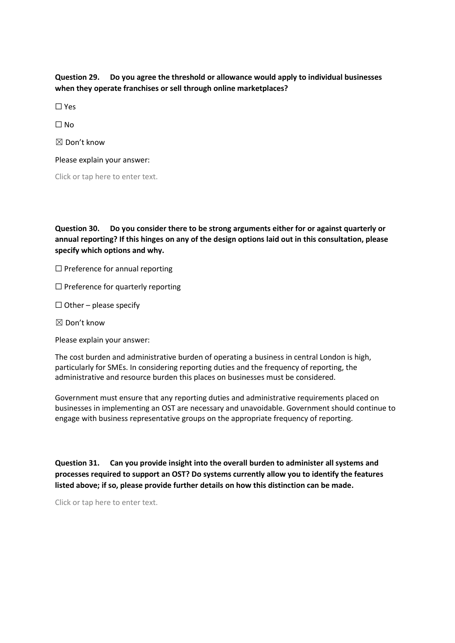**Question 29. Do you agree the threshold or allowance would apply to individual businesses when they operate franchises or sell through online marketplaces?**

☐ Yes

 $\Box$  No

 $\boxtimes$  Don't know

Please explain your answer:

Click or tap here to enter text.

**Question 30. Do you consider there to be strong arguments either for or against quarterly or annual reporting? If this hinges on any of the design options laid out in this consultation, please specify which options and why.**

 $\Box$  Preference for annual reporting

 $\Box$  Preference for quarterly reporting

 $\Box$  Other – please specify

☒ Don't know

Please explain your answer:

The cost burden and administrative burden of operating a business in central London is high, particularly for SMEs. In considering reporting duties and the frequency of reporting, the administrative and resource burden this places on businesses must be considered.

Government must ensure that any reporting duties and administrative requirements placed on businesses in implementing an OST are necessary and unavoidable. Government should continue to engage with business representative groups on the appropriate frequency of reporting.

**Question 31. Can you provide insight into the overall burden to administer all systems and processes required to support an OST? Do systems currently allow you to identify the features listed above; if so, please provide further details on how this distinction can be made.**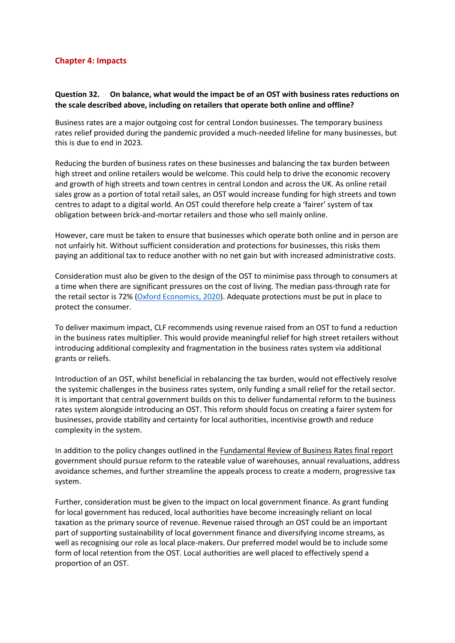## **Chapter 4: Impacts**

# **Question 32. On balance, what would the impact be of an OST with business rates reductions on the scale described above, including on retailers that operate both online and offline?**

Business rates are a major outgoing cost for central London businesses. The temporary business rates relief provided during the pandemic provided a much-needed lifeline for many businesses, but this is due to end in 2023.

Reducing the burden of business rates on these businesses and balancing the tax burden between high street and online retailers would be welcome. This could help to drive the economic recovery and growth of high streets and town centres in central London and across the UK. As online retail sales grow as a portion of total retail sales, an OST would increase funding for high streets and town centres to adapt to a digital world. An OST could therefore help create a 'fairer' system of tax obligation between brick-and-mortar retailers and those who sell mainly online.

However, care must be taken to ensure that businesses which operate both online and in person are not unfairly hit. Without sufficient consideration and protections for businesses, this risks them paying an additional tax to reduce another with no net gain but with increased administrative costs.

Consideration must also be given to the design of the OST to minimise pass through to consumers at a time when there are significant pressures on the cost of living. The median pass-through rate for the retail sector is 72% (Oxford Economics, 2020). Adequate protections must be put in place to protect the consumer.

To deliver maximum impact, CLF recommends using revenue raised from an OST to fund a reduction in the business rates multiplier. This would provide meaningful relief for high street retailers without introducing additional complexity and fragmentation in the business rates system via additional grants or reliefs.

Introduction of an OST, whilst beneficial in rebalancing the tax burden, would not effectively resolve the systemic challenges in the business rates system, only funding a small relief for the retail sector. It is important that central government builds on this to deliver fundamental reform to the business rates system alongside introducing an OST. This reform should focus on creating a fairer system for businesses, provide stability and certainty for local authorities, incentivise growth and reduce complexity in the system.

In addition to the policy changes outlined in the Fundamental Review of Business Rates final report government should pursue reform to the rateable value of warehouses, annual revaluations, address avoidance schemes, and further streamline the appeals process to create a modern, progressive tax system.

Further, consideration must be given to the impact on local government finance. As grant funding for local government has reduced, local authorities have become increasingly reliant on local taxation as the primary source of revenue. Revenue raised through an OST could be an important part of supporting sustainability of local government finance and diversifying income streams, as well as recognising our role as local place-makers. Our preferred model would be to include some form of local retention from the OST. Local authorities are well placed to effectively spend a proportion of an OST.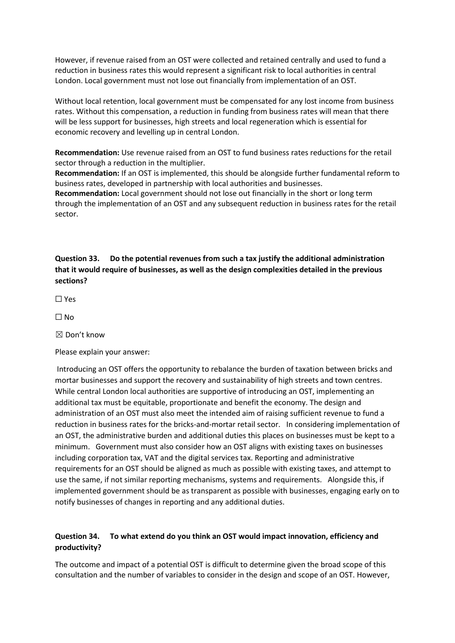However, if revenue raised from an OST were collected and retained centrally and used to fund a reduction in business rates this would represent a significant risk to local authorities in central London. Local government must not lose out financially from implementation of an OST.

Without local retention, local government must be compensated for any lost income from business rates. Without this compensation, a reduction in funding from business rates will mean that there will be less support for businesses, high streets and local regeneration which is essential for economic recovery and levelling up in central London.

**Recommendation:** Use revenue raised from an OST to fund business rates reductions for the retail sector through a reduction in the multiplier.

**Recommendation:** If an OST is implemented, this should be alongside further fundamental reform to business rates, developed in partnership with local authorities and businesses.

**Recommendation:** Local government should not lose out financially in the short or long term through the implementation of an OST and any subsequent reduction in business rates for the retail sector.

# **Question 33. Do the potential revenues from such a tax justify the additional administration that it would require of businesses, as well as the design complexities detailed in the previous sections?**

☐ Yes

 $\Box$  No

☒ Don't know

Please explain your answer:

Introducing an OST offers the opportunity to rebalance the burden of taxation between bricks and mortar businesses and support the recovery and sustainability of high streets and town centres. While central London local authorities are supportive of introducing an OST, implementing an additional tax must be equitable, proportionate and benefit the economy. The design and administration of an OST must also meet the intended aim of raising sufficient revenue to fund a reduction in business rates for the bricks-and-mortar retail sector. In considering implementation of an OST, the administrative burden and additional duties this places on businesses must be kept to a minimum. Government must also consider how an OST aligns with existing taxes on businesses including corporation tax, VAT and the digital services tax. Reporting and administrative requirements for an OST should be aligned as much as possible with existing taxes, and attempt to use the same, if not similar reporting mechanisms, systems and requirements. Alongside this, if implemented government should be as transparent as possible with businesses, engaging early on to notify businesses of changes in reporting and any additional duties.

# **Question 34. To what extend do you think an OST would impact innovation, efficiency and productivity?**

The outcome and impact of a potential OST is difficult to determine given the broad scope of this consultation and the number of variables to consider in the design and scope of an OST. However,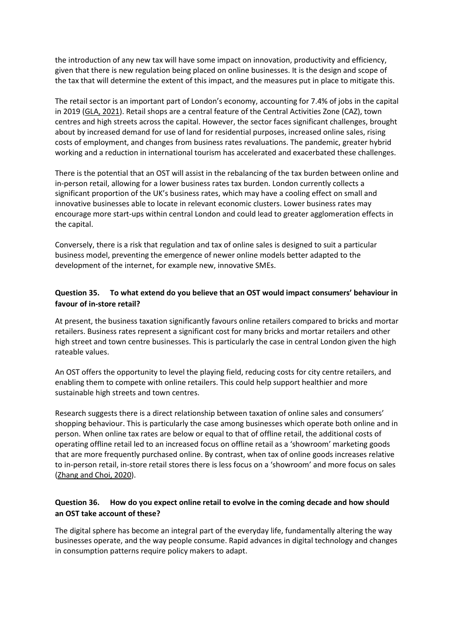the introduction of any new tax will have some impact on innovation, productivity and efficiency, given that there is new regulation being placed on online businesses. It is the design and scope of the tax that will determine the extent of this impact, and the measures put in place to mitigate this.

The retail sector is an important part of London's economy, accounting for 7.4% of jobs in the capital in 2019 (GLA, 2021). Retail shops are a central feature of the Central Activities Zone (CAZ), town centres and high streets across the capital. However, the sector faces significant challenges, brought about by increased demand for use of land for residential purposes, increased online sales, rising costs of employment, and changes from business rates revaluations. The pandemic, greater hybrid working and a reduction in international tourism has accelerated and exacerbated these challenges.

There is the potential that an OST will assist in the rebalancing of the tax burden between online and in-person retail, allowing for a lower business rates tax burden. London currently collects a significant proportion of the UK's business rates, which may have a cooling effect on small and innovative businesses able to locate in relevant economic clusters. Lower business rates may encourage more start-ups within central London and could lead to greater agglomeration effects in the capital.

Conversely, there is a risk that regulation and tax of online sales is designed to suit a particular business model, preventing the emergence of newer online models better adapted to the development of the internet, for example new, innovative SMEs.

## **Question 35. To what extend do you believe that an OST would impact consumers' behaviour in favour of in-store retail?**

At present, the business taxation significantly favours online retailers compared to bricks and mortar retailers. Business rates represent a significant cost for many bricks and mortar retailers and other high street and town centre businesses. This is particularly the case in central London given the high rateable values.

An OST offers the opportunity to level the playing field, reducing costs for city centre retailers, and enabling them to compete with online retailers. This could help support healthier and more sustainable high streets and town centres.

Research suggests there is a direct relationship between taxation of online sales and consumers' shopping behaviour. This is particularly the case among businesses which operate both online and in person. When online tax rates are below or equal to that of offline retail, the additional costs of operating offline retail led to an increased focus on offline retail as a 'showroom' marketing goods that are more frequently purchased online. By contrast, when tax of online goods increases relative to in-person retail, in-store retail stores there is less focus on a 'showroom' and more focus on sales (Zhang and Choi, 2020).

## **Question 36. How do you expect online retail to evolve in the coming decade and how should an OST take account of these?**

The digital sphere has become an integral part of the everyday life, fundamentally altering the way businesses operate, and the way people consume. Rapid advances in digital technology and changes in consumption patterns require policy makers to adapt.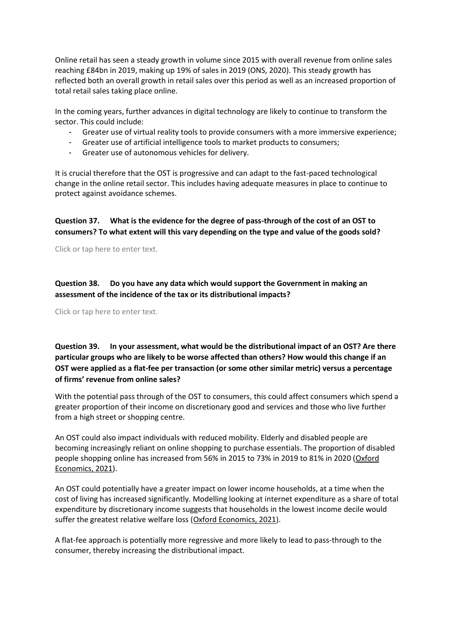Online retail has seen a steady growth in volume since 2015 with overall revenue from online sales reaching £84bn in 2019, making up 19% of sales in 2019 (ONS, 2020). This steady growth has reflected both an overall growth in retail sales over this period as well as an increased proportion of total retail sales taking place online.

In the coming years, further advances in digital technology are likely to continue to transform the sector. This could include:

- Greater use of virtual reality tools to provide consumers with a more immersive experience;
- Greater use of artificial intelligence tools to market products to consumers;
- Greater use of autonomous vehicles for delivery.

It is crucial therefore that the OST is progressive and can adapt to the fast-paced technological change in the online retail sector. This includes having adequate measures in place to continue to protect against avoidance schemes.

**Question 37. What is the evidence for the degree of pass-through of the cost of an OST to consumers? To what extent will this vary depending on the type and value of the goods sold?**

Click or tap here to enter text.

**Question 38. Do you have any data which would support the Government in making an assessment of the incidence of the tax or its distributional impacts?**

Click or tap here to enter text.

**Question 39. In your assessment, what would be the distributional impact of an OST? Are there particular groups who are likely to be worse affected than others? How would this change if an OST were applied as a flat-fee per transaction (or some other similar metric) versus a percentage of firms' revenue from online sales?**

With the potential pass through of the OST to consumers, this could affect consumers which spend a greater proportion of their income on discretionary good and services and those who live further from a high street or shopping centre.

An OST could also impact individuals with reduced mobility. Elderly and disabled people are becoming increasingly reliant on online shopping to purchase essentials. The proportion of disabled people shopping online has increased from 56% in 2015 to 73% in 2019 to 81% in 2020 (Oxford Economics, 2021).

An OST could potentially have a greater impact on lower income households, at a time when the cost of living has increased significantly. Modelling looking at internet expenditure as a share of total expenditure by discretionary income suggests that households in the lowest income decile would suffer the greatest relative welfare loss (Oxford Economics, 2021).

A flat-fee approach is potentially more regressive and more likely to lead to pass-through to the consumer, thereby increasing the distributional impact.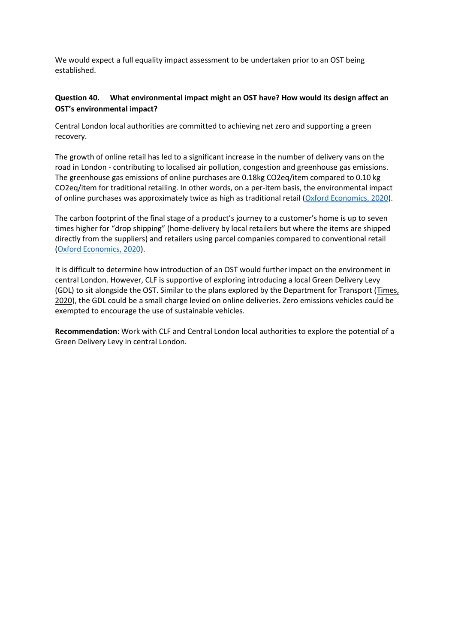We would expect a full equality impact assessment to be undertaken prior to an OST being established.

## **Question 40. What environmental impact might an OST have? How would its design affect an OST's environmental impact?**

Central London local authorities are committed to achieving net zero and supporting a green recovery.

The growth of online retail has led to a significant increase in the number of delivery vans on the road in London - contributing to localised air pollution, congestion and greenhouse gas emissions. The greenhouse gas emissions of online purchases are 0.18kg CO2eq/item compared to 0.10 kg CO2eq/item for traditional retailing. In other words, on a per-item basis, the environmental impact of online purchases was approximately twice as high as traditional retail (Oxford Economics, 2020).

The carbon footprint of the final stage of a product's journey to a customer's home is up to seven times higher for "drop shipping" (home-delivery by local retailers but where the items are shipped directly from the suppliers) and retailers using parcel companies compared to conventional retail (Oxford Economics, 2020).

It is difficult to determine how introduction of an OST would further impact on the environment in central London. However, CLF is supportive of exploring introducing a local Green Delivery Levy (GDL) to sit alongside the OST. Similar to the plans explored by the Department for Transport (Times, 2020), the GDL could be a small charge levied on online deliveries. Zero emissions vehicles could be exempted to encourage the use of sustainable vehicles.

**Recommendation**: Work with CLF and Central London local authorities to explore the potential of a Green Delivery Levy in central London.